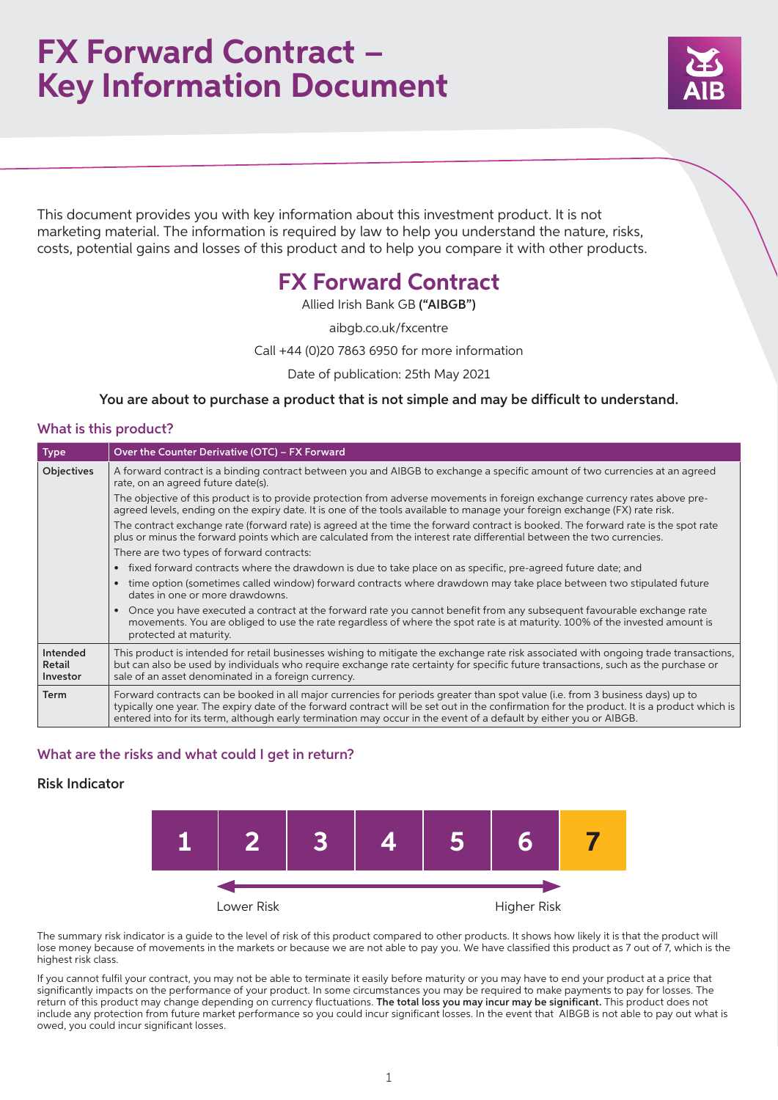## **FX Forward Contract – Key Information Document**



This document provides you with key information about this investment product. It is not marketing material. The information is required by law to help you understand the nature, risks, costs, potential gains and losses of this product and to help you compare it with other products.

## **FX Forward Contract**

Allied Irish Bank GB ("AIBGB")

aibgb.co.uk/fxcentre

Call +44 (0)20 7863 6950 for more information

Date of publication: 25th May 2021

You are about to purchase a product that is not simple and may be difficult to understand.

## What is this product?

| <b>Type</b>                    | Over the Counter Derivative (OTC) - FX Forward                                                                                                                                                                                                                                                                                                                                                  |
|--------------------------------|-------------------------------------------------------------------------------------------------------------------------------------------------------------------------------------------------------------------------------------------------------------------------------------------------------------------------------------------------------------------------------------------------|
| <b>Objectives</b>              | A forward contract is a binding contract between you and AIBGB to exchange a specific amount of two currencies at an agreed<br>rate, on an agreed future date(s).                                                                                                                                                                                                                               |
|                                | The objective of this product is to provide protection from adverse movements in foreign exchange currency rates above pre-<br>agreed levels, ending on the expiry date. It is one of the tools available to manage your foreign exchange (FX) rate risk.                                                                                                                                       |
|                                | The contract exchange rate (forward rate) is agreed at the time the forward contract is booked. The forward rate is the spot rate<br>plus or minus the forward points which are calculated from the interest rate differential between the two currencies.                                                                                                                                      |
|                                | There are two types of forward contracts:                                                                                                                                                                                                                                                                                                                                                       |
|                                | fixed forward contracts where the drawdown is due to take place on as specific, pre-agreed future date; and                                                                                                                                                                                                                                                                                     |
|                                | time option (sometimes called window) forward contracts where drawdown may take place between two stipulated future<br>dates in one or more drawdowns.                                                                                                                                                                                                                                          |
|                                | Once you have executed a contract at the forward rate you cannot benefit from any subsequent favourable exchange rate<br>movements. You are obliged to use the rate regardless of where the spot rate is at maturity. 100% of the invested amount is<br>protected at maturity.                                                                                                                  |
| Intended<br>Retail<br>Investor | This product is intended for retail businesses wishing to mitigate the exchange rate risk associated with ongoing trade transactions,<br>but can also be used by individuals who require exchange rate certainty for specific future transactions, such as the purchase or<br>sale of an asset denominated in a foreign currency.                                                               |
| <b>Term</b>                    | Forward contracts can be booked in all major currencies for periods greater than spot value (i.e. from 3 business days) up to<br>typically one year. The expiry date of the forward contract will be set out in the confirmation for the product. It is a product which is<br>entered into for its term, although early termination may occur in the event of a default by either you or AIBGB. |

## What are the risks and what could I get in return?

## Risk Indicator



The summary risk indicator is a guide to the level of risk of this product compared to other products. It shows how likely it is that the product will lose money because of movements in the markets or because we are not able to pay you. We have classified this product as 7 out of 7, which is the highest risk class.

If you cannot fulfil your contract, you may not be able to terminate it easily before maturity or you may have to end your product at a price that significantly impacts on the performance of your product. In some circumstances you may be required to make payments to pay for losses. The return of this product may change depending on currency fluctuations. The total loss you may incur may be significant. This product does not include any protection from future market performance so you could incur significant losses. In the event that AIBGB is not able to pay out what is owed, you could incur significant losses.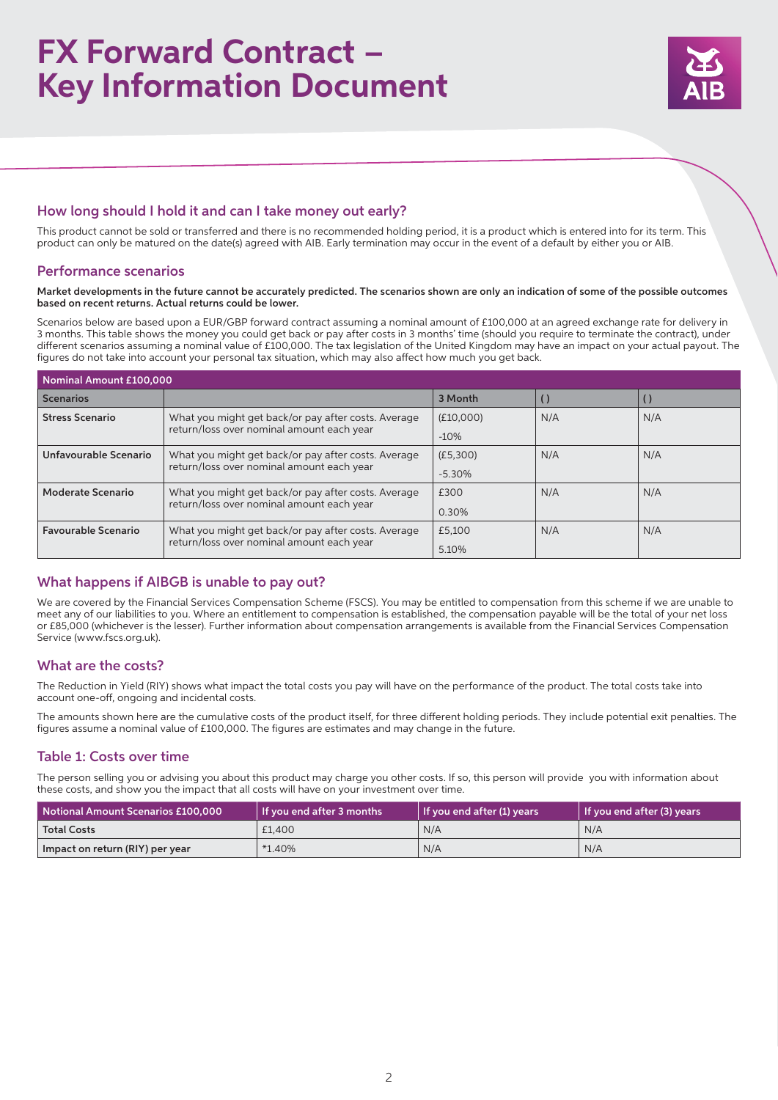# **FX Forward Contract – Key Information Document**



## How long should I hold it and can I take money out early?

This product cannot be sold or transferred and there is no recommended holding period, it is a product which is entered into for its term. This product can only be matured on the date(s) agreed with AIB. Early termination may occur in the event of a default by either you or AIB.

### Performance scenarios

#### Market developments in the future cannot be accurately predicted. The scenarios shown are only an indication of some of the possible outcomes based on recent returns. Actual returns could be lower.

Scenarios below are based upon a EUR/GBP forward contract assuming a nominal amount of £100,000 at an agreed exchange rate for delivery in 3 months. This table shows the money you could get back or pay after costs in 3 months' time (should you require to terminate the contract), under different scenarios assuming a nominal value of £100,000. The tax legislation of the United Kingdom may have an impact on your actual payout. The figures do not take into account your personal tax situation, which may also affect how much you get back.

| Nominal Amount £100,000    |                                                                                                  |           |     |     |  |  |  |
|----------------------------|--------------------------------------------------------------------------------------------------|-----------|-----|-----|--|--|--|
| <b>Scenarios</b>           |                                                                                                  | 3 Month   |     |     |  |  |  |
| <b>Stress Scenario</b>     | What you might get back/or pay after costs. Average                                              | (E10,000) | N/A | N/A |  |  |  |
|                            | return/loss over nominal amount each year                                                        | $-10%$    |     |     |  |  |  |
| Unfavourable Scenario      | What you might get back/or pay after costs. Average<br>return/loss over nominal amount each year | (E5,300)  | N/A | N/A |  |  |  |
|                            |                                                                                                  | $-5.30%$  |     |     |  |  |  |
| Moderate Scenario          | What you might get back/or pay after costs. Average                                              | £300      | N/A | N/A |  |  |  |
|                            | return/loss over nominal amount each year                                                        | 0.30%     |     |     |  |  |  |
| <b>Favourable Scenario</b> | What you might get back/or pay after costs. Average<br>return/loss over nominal amount each year | £5.100    | N/A | N/A |  |  |  |
|                            |                                                                                                  | 5.10%     |     |     |  |  |  |

## What happens if AIBGB is unable to pay out?

We are covered by the Financial Services Compensation Scheme (FSCS). You may be entitled to compensation from this scheme if we are unable to meet any of our liabilities to you. Where an entitlement to compensation is established, the compensation payable will be the total of your net loss or £85,000 (whichever is the lesser). Further information about compensation arrangements is available from the Financial Services Compensation Service (www.fscs.org.uk).

## What are the costs?

The Reduction in Yield (RIY) shows what impact the total costs you pay will have on the performance of the product. The total costs take into account one-off, ongoing and incidental costs.

The amounts shown here are the cumulative costs of the product itself, for three different holding periods. They include potential exit penalties. The figures assume a nominal value of £100,000. The figures are estimates and may change in the future.

## Table 1: Costs over time

The person selling you or advising you about this product may charge you other costs. If so, this person will provide you with information about these costs, and show you the impact that all costs will have on your investment over time.

| Notional Amount Scenarios £100.000 | If you end after 3 months | If you end after (1) years | If you end after (3) years |
|------------------------------------|---------------------------|----------------------------|----------------------------|
| <b>Total Costs</b>                 | £1.400                    | N/A                        | N/A                        |
| Impact on return (RIY) per year    | $*1.40\%$                 | N/A                        | N/A                        |